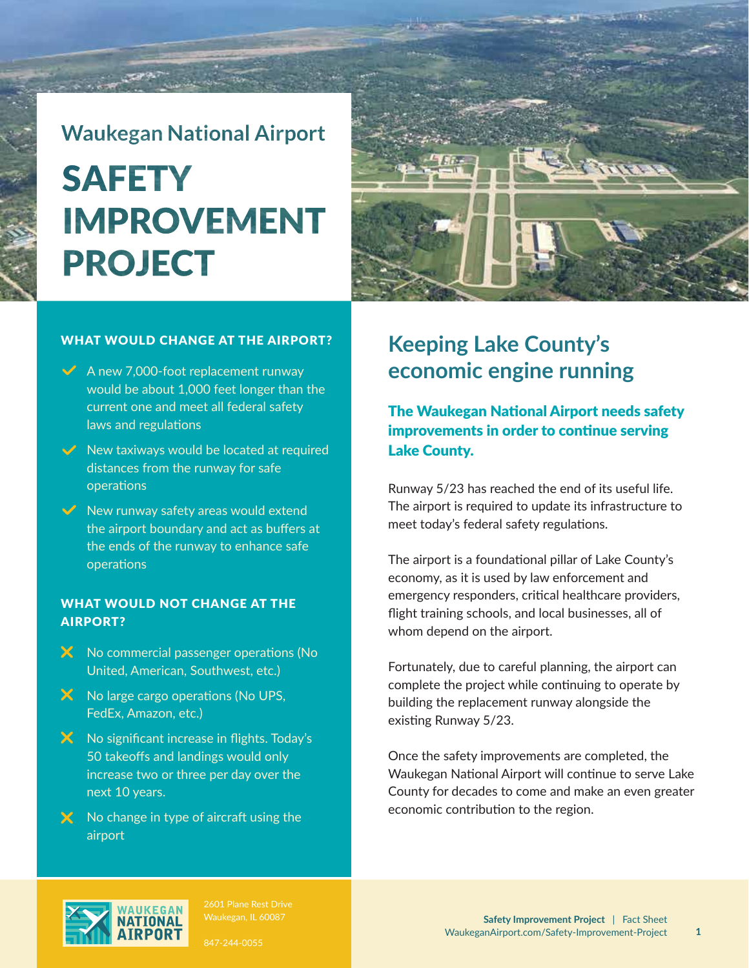# **Waukegan National Airport SAFETY IMPROVEMENT PROJECT**

#### WHAT WOULD CHANGE AT THE AIRPORT?

- $\sqrt{\phantom{a}}$  A new 7.000-foot replacement runway would be about 1,000 feet longer than the current one and meet all federal safety laws and regulations
- $\vee$  New taxiways would be located at required distances from the runway for safe operations
- $\vee$  New runway safety areas would extend the airport boundary and act as buffers at the ends of the runway to enhance safe operations

### WHAT WOULD NOT CHANGE AT THE AIRPORT?

- X No commercial passenger operations (No United, American, Southwest, etc.)
- $\mathsf{\times}$  No large cargo operations (No UPS, FedEx, Amazon, etc.)
- X No significant increase in flights. Today's 50 takeoffs and landings would only increase two or three per day over the next 10 years.
- $\times$  No change in type of aircraft using the airport



### **Keeping Lake County's economic engine running**

The Waukegan National Airport needs safety improvements in order to continue serving Lake County.

Runway 5/23 has reached the end of its useful life. The airport is required to update its infrastructure to meet today's federal safety regulations.

The airport is a foundational pillar of Lake County's economy, as it is used by law enforcement and emergency responders, critical healthcare providers, flight training schools, and local businesses, all of whom depend on the airport.

Fortunately, due to careful planning, the airport can complete the project while continuing to operate by building the replacement runway alongside the existing Runway 5/23.

Once the safety improvements are completed, the Waukegan National Airport will continue to serve Lake County for decades to come and make an even greater economic contribution to the region.



847-244-0055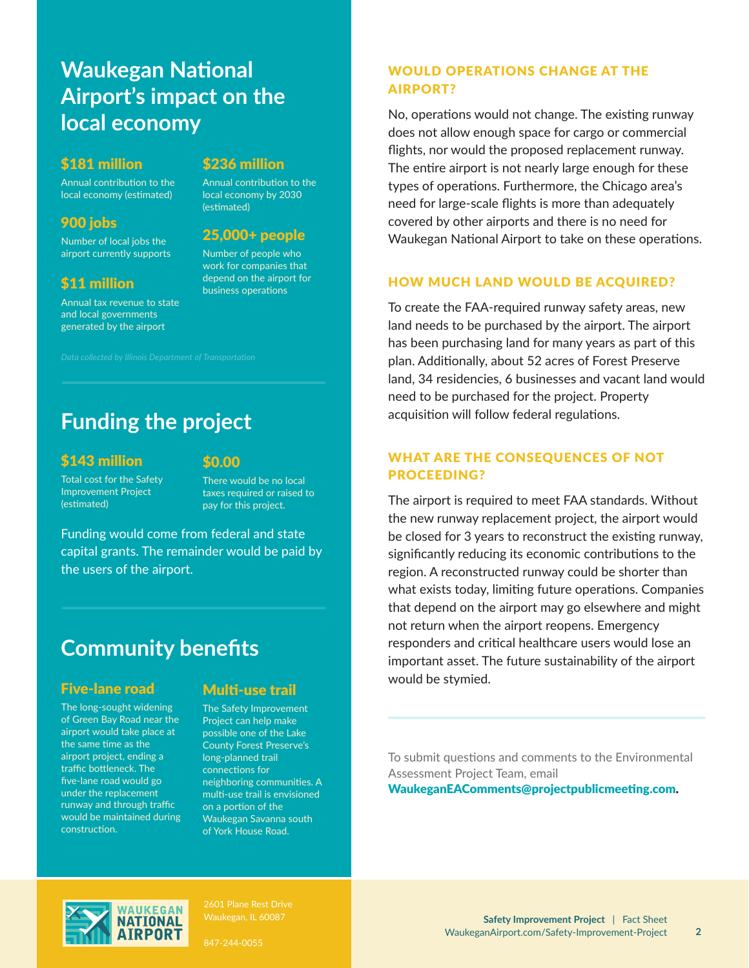### **Waukegan National Airport's impact on the local economy**

### \$181 million \$236 million

Annual contribution to the local economy (estimated)

airport currently supports Number of people who

### \$11 million

Annual tax revenue to state and local governments generated by the airport

Annual contribution to the local economy by 2030 (estimated)

## 900 jobs<br>
Number of local jobs the 25,000+ people

work for companies that depend on the airport for business operations

### **Funding the project**

### \$143 million

#### \$0.00

Total cost for the Safety Improvement Project (estimated)

There would be no local taxes required or raised to pay for this project.

Funding would come from federal and state capital grants. The remainder would be paid by the users of the airport.

### **Community benefits**

### Five-lane road

The long-sought widening of Green Bay Road near the airport would take place at the same time as the airport project, ending a traffic bottleneck. The five-lane road would go under the replacement runway and through traffic would be maintained during construction.

### Multi-use trail

The Safety Improvement Project can help make possible one of the Lake County Forest Preserve's long-planned trail connections for neighboring communities. A multi-use trail is envisioned on a portion of the Waukegan Savanna south of York House Road.

### WOULD OPERATIONS CHANGE AT THE AIRPORT?

No, operations would not change. The existing runway does not allow enough space for cargo or commercial flights, nor would the proposed replacement runway. The entire airport is not nearly large enough for these types of operations. Furthermore, the Chicago area's need for large-scale flights is more than adequately covered by other airports and there is no need for Waukegan National Airport to take on these operations.

### HOW MUCH LAND WOULD BE ACQUIRED?

To create the FAA-required runway safety areas, new land needs to be purchased by the airport. The airport has been purchasing land for many years as part of this plan. Additionally, about 52 acres of Forest Preserve land, 34 residencies, 6 businesses and vacant land would need to be purchased for the project. Property acquisition will follow federal regulations.

### WHAT ARE THE CONSEQUENCES OF NOT PROCEEDING?

The airport is required to meet FAA standards. Without the new runway replacement project, the airport would be closed for 3 years to reconstruct the existing runway, significantly reducing its economic contributions to the region. A reconstructed runway could be shorter than what exists today, limiting future operations. Companies that depend on the airport may go elsewhere and might not return when the airport reopens. Emergency responders and critical healthcare users would lose an important asset. The future sustainability of the airport would be stymied.

To submit questions and comments to the Environmental Assessment Project Team, email WaukeganEAComments@projectpublicmeeting.com.



2601 Plane Rest Drive

847-244-0055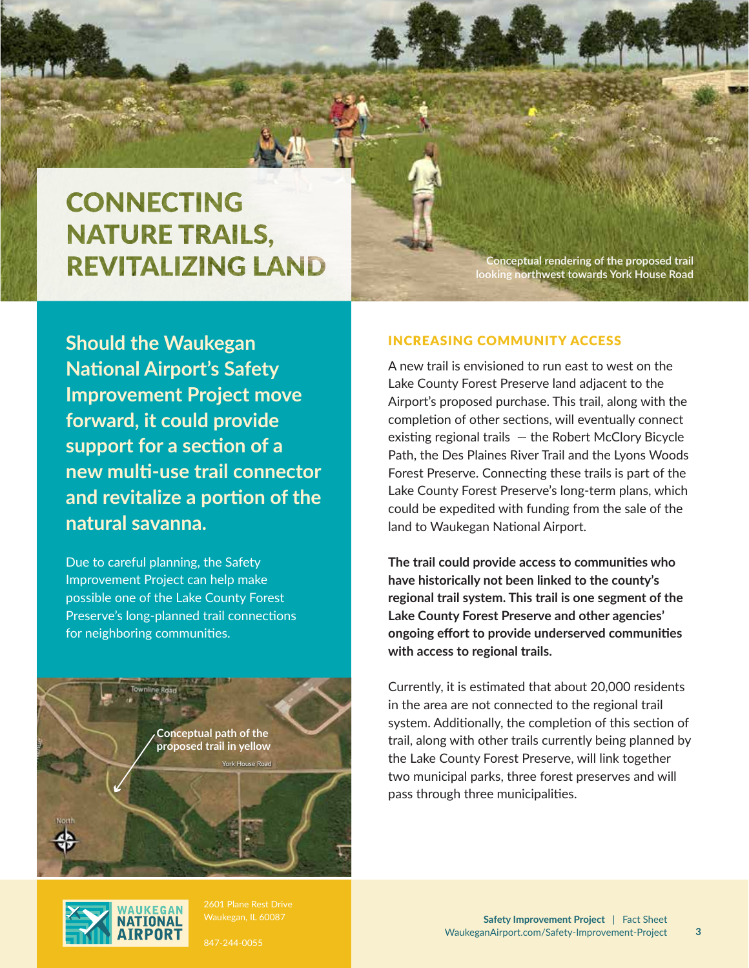## **CONNECTING NATURE TRAILS, REVITALIZING LAND**

**Conceptual rendering of the proposed trail looking northwest towards York House Road**

**Should the Waukegan National Airport's Safety Improvement Project move forward, it could provide support for a section of a new multi-use trail connector and revitalize a portion of the natural savanna.**

Due to careful planning, the Safety Improvement Project can help make possible one of the Lake County Forest Preserve's long-planned trail connections for neighboring communities.

> **Conceptual path of the proposed trail in yellow**



2601 Plane Rest Drive

York House Road

847-244-0055

#### INCREASING COMMUNITY ACCESS

A new trail is envisioned to run east to west on the Lake County Forest Preserve land adjacent to the Airport's proposed purchase. This trail, along with the completion of other sections, will eventually connect existing regional trails — the Robert McClory Bicycle Path, the Des Plaines River Trail and the Lyons Woods Forest Preserve. Connecting these trails is part of the Lake County Forest Preserve's long-term plans, which could be expedited with funding from the sale of the land to Waukegan National Airport.

**The trail could provide access to communities who have historically not been linked to the county's regional trail system. This trail is one segment of the Lake County Forest Preserve and other agencies' ongoing effort to provide underserved communities with access to regional trails.** 

Currently, it is estimated that about 20,000 residents in the area are not connected to the regional trail system. Additionally, the completion of this section of trail, along with other trails currently being planned by the Lake County Forest Preserve, will link together two municipal parks, three forest preserves and will pass through three municipalities.